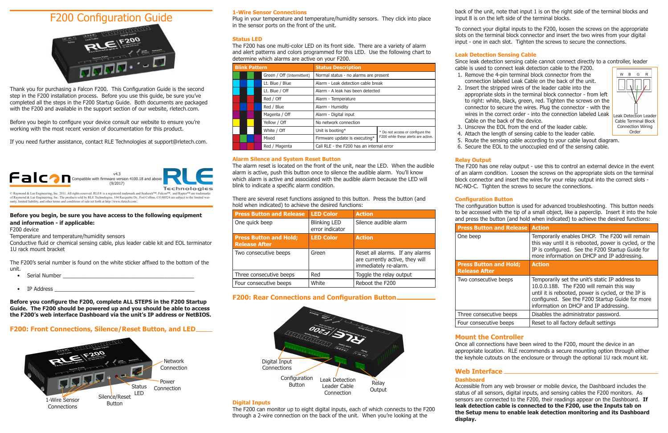# **1-Wire Sensor Connections**

Plug in your temperature and temperature/humidity sensors. They click into place in the sensor ports on the front of the unit.

# **Status LED**

The F200 has one multi-color LED on its front side. There are a variety of alarm and alert patterns and colors programmed for this LED. Use the following chart to determine which alarms are active on your F200.

| <b>Blink Pattern</b> |  |  | <b>Status Description</b>  |                                           |                                     |
|----------------------|--|--|----------------------------|-------------------------------------------|-------------------------------------|
|                      |  |  | Green / Off (Intermittent) | Normal status - no alarms are present     |                                     |
|                      |  |  | Lt. Blue / Blue            | Alarm - Leak detection cable break        |                                     |
|                      |  |  | Lt. Blue / Off             | Alarm - A leak has been detected          |                                     |
|                      |  |  | Red / Off                  | Alarm - Temperature                       |                                     |
|                      |  |  | Red / Blue                 | Alarm - Humidity                          |                                     |
|                      |  |  | Magenta / Off              | Alarm - Digital input                     |                                     |
|                      |  |  | Yellow / Off               | No network connection                     |                                     |
|                      |  |  | White / Off                | Unit is booting*                          | * Do not access or configure the    |
|                      |  |  | Mixed                      | Firmware update is executing*             | F200 while these alerts are active. |
|                      |  |  | Red / Magenta              | Call RLE - the F200 has an internal error |                                     |

# **Alarm Silence and System Reset Button**

The alarm reset is located on the front of the unit, near the LED. When the audible alarm is active, push this button once to silence the audible alarm. You'll know which alarm is active and associated with the audible alarm because the LED will blink to indicate a specific alarm condition.

There are several reset functions assigned to this button. Press the button (and hold when indicated) to achieve the desired functions:

| <b>Press Button and Release</b>                       | <b>LED Color</b>                       | <b>Action</b>                                                                               |
|-------------------------------------------------------|----------------------------------------|---------------------------------------------------------------------------------------------|
| One quick beep                                        | <b>Blinking LED</b><br>error indicator | Silence audible alarm                                                                       |
| <b>Press Button and Hold;</b><br><b>Release After</b> | <b>LED Color</b>                       | <b>Action</b>                                                                               |
| Two consecutive beeps                                 | Green                                  | Reset all alarms. If any alarms<br>are currently active, they will<br>immediately re-alarm. |
| Three consecutive beeps                               | Red                                    | Toggle the relay output                                                                     |
| Four consecutive beeps                                | White                                  | Reboot the F200                                                                             |

# **F200: Rear Connections and Configuration Button**

# **Digital Inputs**

The F200 can monitor up to eight digital inputs, each of which connects to the F200 through a 2-wire connection on the back of the unit. When you're looking at the

# **Press Button Release After**

back of the unit, note that input 1 is on the right side of the terminal blocks and input 8 is on the left side of the terminal blocks.

Two consecutive

Three consecutive Four consecuti

To connect your digital inputs to the F200, loosen the screws on the appropriate slots on the terminal block connector and insert the two wires from your digital input - one in each slot. Tighten the screws to secure the connections.

# **Leak Detection Sensing Cable**

Since leak detection sensing cable cannot connect directly to a controller, leader

cable is used to connect leak detection cable to the F200. 1. Remove the 4-pin terminal block connector from the connection labeled Leak Cable on the back of the unit. 2. Insert the stripped wires of the leader cable into the appropriate slots in the terminal block connector - from left to right: white, black, green, red. Tighten the screws on the connector to secure the wires. Plug the connector - with the wires in the correct order - into the connection labeled Leak Cable on the back of the device.

3. Unscrew the EOL from the end of the leader cable.

- **Serial Number**   $\blacksquare$
- IP Address \_\_\_\_\_\_\_\_\_\_\_\_\_\_\_\_\_\_\_\_\_\_\_\_\_\_\_\_\_\_\_\_\_\_\_\_\_\_\_\_\_\_\_\_\_\_\_
- 
- 
- 
- 4. Attach the length of sensing cable to the leader cable.
- 5. Route the sensing cable according to your cable layout diagram.
- 

6. Secure the EOL to the unoccupied end of the sensing cable.

# **Relay Output**

The F200 has one relay output - use this to control an external device in the event of an alarm condition. Loosen the screws on the appropriate slots on the terminal block connector and insert the wires for your relay output into the correct slots - NC-NO-C. Tighten the screws to secure the connections.

### **Configuration Button**

# **Press Butto**

One beep

The configuration button is used for advanced troubleshooting. This button needs to be accessed with the tip of a small object, like a paperclip. Insert it into the hole and press the button (and hold when indicated) to achieve the desired functions:

| and Release Action |                                                                                                                                                                                                                                                  |
|--------------------|--------------------------------------------------------------------------------------------------------------------------------------------------------------------------------------------------------------------------------------------------|
|                    | Temporarily enables DHCP. The F200 will remain<br>this way until it is rebooted, power is cycled, or the<br>IP is configured. See the F200 Startup Guide for<br>more information on DHCP and IP addressing.                                      |
| and Hold;          | <b>Action</b>                                                                                                                                                                                                                                    |
| ve beeps           | Temporarily set the unit's static IP address to<br>10.0.0.188. The F200 will remain this way<br>until it is rebooted, power is cycled, or the IP is<br>configured. See the F200 Startup Guide for more<br>information on DHCP and IP addressing. |
| itive beeps        | Disables the administrator password.                                                                                                                                                                                                             |
| ive beeps          | Reset to all factory default settings                                                                                                                                                                                                            |

# **Mount the Controller**

Once all connections have been wired to the F200, mount the device in an appropriate location. RLE recommends a secure mounting option through either the keyhole cutouts on the enclosure or through the optional 1U rack mount kit.

# **Web Interface Dashboard**

Accessible from any web browser or mobile device, the Dashboard includes the status of all sensors, digital inputs, and sensing cables the F200 monitors. As sensors are connected to the F200, their readings appear on the Dashboard. **If leak detection cable is connected to the F200, use the Inputs tab on the Setup menu to enable leak detection monitoring and its Dashboard display.**

© Raymond & Lae Engineering, Inc. 2011. All rights reserved. RLE® is a registered trademark and Seahawk™, Falcon™, and Raptor™ are trademarks of Raymond & Lae Engineering, Inc. The products sold by RLE Technologies, 104 Racquette Dr., Fort Collins, CO 80524 are subject to the limited warranty, limited liability, and other terms and conditions of sale set forth at http://www.rletech.com/.

# **Before you begin, be sure you have access to the following equipment and information - if applicable:**

### F200 device

Temperature and temperature/humidity sensors

Conductive fluid or chemical sensing cable, plus leader cable kit and EOL terminator 1U rack mount bracket

The F200's serial number is found on the white sticker affixed to the bottom of the unit.

**Before you configure the F200, complete ALL STEPS in the F200 Startup Guide. The F200 should be powered up and you should be able to access the F200's web interface Dashboard via the unit's IP address or NetBIOS.**

# **F200: Front Connections, Silence/Reset Button, and LED**

# F200 Configuration Guide



Thank you for purchasing a Falcon F200. This Configuration Guide is the second step in the F200 installation process. Before you use this guide, be sure you've completed all the steps in the F200 Startup Guide. Both documents are packaged with the F200 and available in the support section of our website, rletech.com.

Before you begin to configure your device consult our website to ensure you're working with the most recent version of documentation for this product.

If you need further assistance, contact RLE Technologies at support@rletech.com.